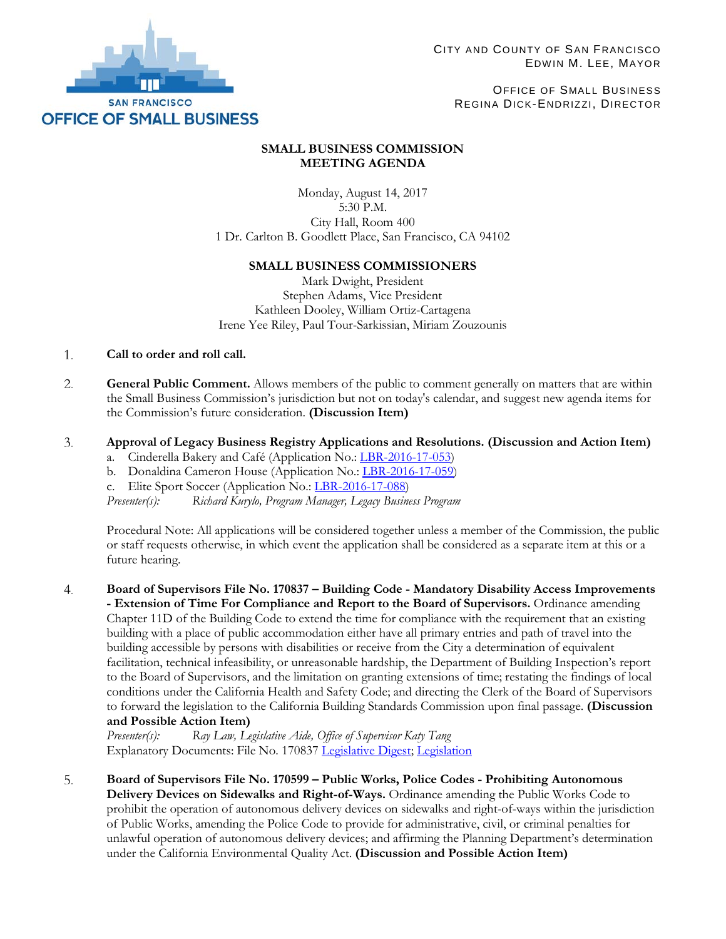

OFFICE OF SMALL BUSINESS REGINA DICK-ENDRIZZI, DIRECTOR

# **SMALL BUSINESS COMMISSION MEETING AGENDA**

Monday, August 14, 2017 5:30 P.M. City Hall, Room 400 1 Dr. Carlton B. Goodlett Place, San Francisco, CA 94102

# **SMALL BUSINESS COMMISSIONERS**

Mark Dwight, President Stephen Adams, Vice President Kathleen Dooley, William Ortiz-Cartagena Irene Yee Riley, Paul Tour-Sarkissian, Miriam Zouzounis

#### 1. **Call to order and roll call.**

2. **General Public Comment.** Allows members of the public to comment generally on matters that are within the Small Business Commission's jurisdiction but not on today's calendar, and suggest new agenda items for the Commission's future consideration. **(Discussion Item)**

#### 3. **Approval of Legacy Business Registry Applications and Resolutions. (Discussion and Action Item)**

- a. Cinderella Bakery and Café (Application No.[: LBR-2016-17-053\)](http://sfosb.org/sites/default/files/Legacy%20Business/SBC%20Hearings/Item%203a.%20LBR-2016-17-053%20Cinderella%20Bakery.pdf)
- b. Donaldina Cameron House (Application No.[: LBR-2016-17-059\)](http://sfosb.org/sites/default/files/Legacy%20Business/SBC%20Hearings/Item%203b.%20LBR-2016-17-059%20Donaldina%20Cameron%20House.pdf)
- c. Elite Sport Soccer (Application No.: [LBR-2016-17-088\)](http://sfosb.org/sites/default/files/Legacy%20Business/SBC%20Hearings/Item%203c.%20LBR-2016-17-088%20Elite%20Sport%20Soccer.pdf)

*Presenter(s): Richard Kurylo, Program Manager, Legacy Business Program*

Procedural Note: All applications will be considered together unless a member of the Commission, the public or staff requests otherwise, in which event the application shall be considered as a separate item at this or a future hearing.

**Board of Supervisors File No. 170837 – Building Code - Mandatory Disability Access Improvements**   $4.$ **- Extension of Time For Compliance and Report to the Board of Supervisors.** Ordinance amending Chapter 11D of the Building Code to extend the time for compliance with the requirement that an existing building with a place of public accommodation either have all primary entries and path of travel into the building accessible by persons with disabilities or receive from the City a determination of equivalent facilitation, technical infeasibility, or unreasonable hardship, the Department of Building Inspection's report to the Board of Supervisors, and the limitation on granting extensions of time; restating the findings of local conditions under the California Health and Safety Code; and directing the Clerk of the Board of Supervisors to forward the legislation to the California Building Standards Commission upon final passage. **(Discussion and Possible Action Item)**

*Presenter(s): Ray Law, Legislative Aide, Office of Supervisor Katy Tang* Explanatory Documents: File No. 170837 [Legislative Digest;](https://sfgov.legistar.com/View.ashx?M=F&ID=5324228&GUID=768DC396-736C-48B4-A2A2-B7DA30CDAA0E) [Legislation](https://sfgov.legistar.com/View.ashx?M=F&ID=5324227&GUID=0C0FB86D-99AB-433F-AC7B-9ED17B7E70C9)

5. **Board of Supervisors File No. 170599 – Public Works, Police Codes - Prohibiting Autonomous Delivery Devices on Sidewalks and Right-of-Ways.** Ordinance amending the Public Works Code to prohibit the operation of autonomous delivery devices on sidewalks and right-of-ways within the jurisdiction of Public Works, amending the Police Code to provide for administrative, civil, or criminal penalties for unlawful operation of autonomous delivery devices; and affirming the Planning Department's determination under the California Environmental Quality Act. **(Discussion and Possible Action Item)**

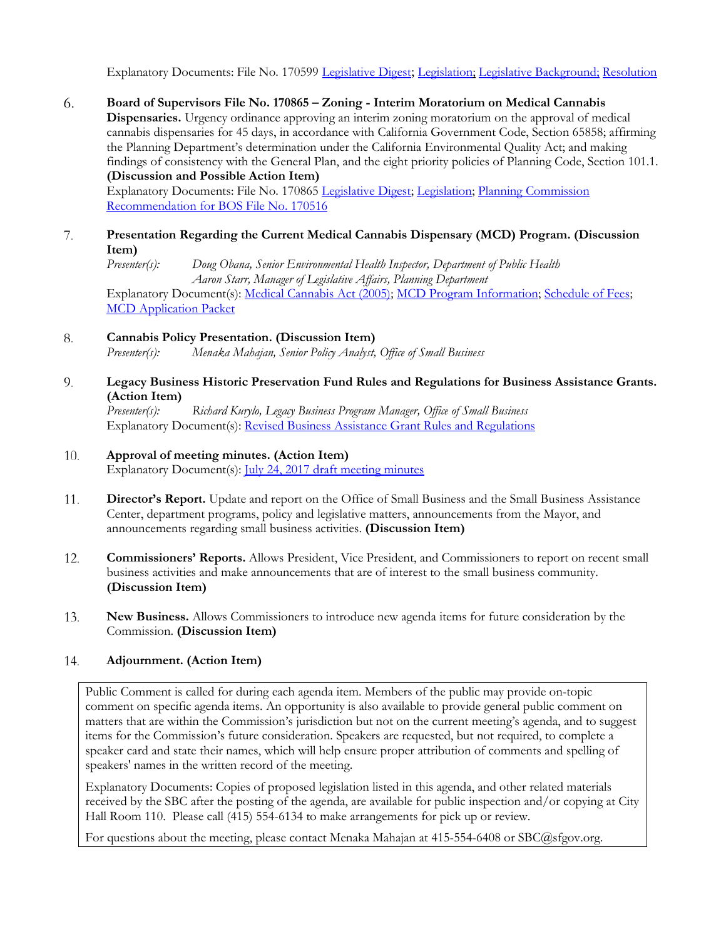Explanatory Documents: File No. 170599 [Legislative Digest;](https://sfgov.legistar.com/View.ashx?M=F&ID=5170963&GUID=7D565EB3-E6B8-4F6C-B7B2-2D01CFE6D99A) [Legislation;](https://sfgov.legistar.com/View.ashx?M=F&ID=5170962&GUID=B116503D-6E80-4348-8304-9C99E9CF096B) [Legislative Background;](http://sfosb.org/file/3441) [Resolution](http://sfosb.org/file/3996)

6. **Board of Supervisors File No. 170865 – Zoning - Interim Moratorium on Medical Cannabis Dispensaries.** Urgency ordinance approving an interim zoning moratorium on the approval of medical cannabis dispensaries for 45 days, in accordance with California Government Code, Section 65858; affirming the Planning Department's determination under the California Environmental Quality Act; and making findings of consistency with the General Plan, and the eight priority policies of Planning Code, Section 101.1. **(Discussion and Possible Action Item)**

Explanatory Documents: File No. 170865 [Legislative Digest;](https://sfgov.legistar.com/View.ashx?M=F&ID=5337587&GUID=3AE8249B-7251-44D3-A849-875B95F93DA8) [Legislation;](https://sfgov.legistar.com/View.ashx?M=F&ID=5337588&GUID=4E99CC29-0C8D-4EBF-94ED-75F26205A6BE) [Planning Commission](https://sfgov.legistar.com/View.ashx?M=F&ID=5326195&GUID=1D4EB520-A470-40ED-B89E-FB777B03B5FB)  [Recommendation for BOS File No. 170516](https://sfgov.legistar.com/View.ashx?M=F&ID=5326195&GUID=1D4EB520-A470-40ED-B89E-FB777B03B5FB)

7. **Presentation Regarding the Current Medical Cannabis Dispensary (MCD) Program. (Discussion Item)**

*Presenter(s): Doug Obana, Senior Environmental Health Inspector, Department of Public Health Aaron Starr, Manager of Legislative Affairs, Planning Department* Explanatory Document(s): [Medical Cannabis Act \(2005\);](http://library.amlegal.com/nxt/gateway.dll/California/health/article33medicalcannabisact?f=templates$fn=default.htm$3.0$vid=amlegal:sanfrancisco_ca$anc=JD_Article33) [MCD Program Information;](https://www.sfdph.org/dph/EH/MCD/) [Schedule of Fees;](https://www.sfdph.org/dph/EH/Fees.asp#medical) [MCD Application Packet](https://www.sfdph.org/dph/files/EHSdocs/ehsForms/FormsMCD/MCD_Application_Packet.pdf)

#### 8. **Cannabis Policy Presentation. (Discussion Item)**

*Presenter(s): Menaka Mahajan, Senior Policy Analyst, Office of Small Business*

9. **Legacy Business Historic Preservation Fund Rules and Regulations for Business Assistance Grants. (Action Item)**

*Presenter(s): Richard Kurylo, Legacy Business Program Manager, Office of Small Business* Explanatory Document(s): [Revised Business Assistance Grant Rules and Regulations](http://sfosb.org/sites/default/files/Legacy%20Business/SBC%20Hearings/Business%20Assistance%20Grant%20Rules%20and%20Regs%202017.08.pdf)

#### 10. **Approval of meeting minutes. (Action Item)**

Explanatory Document(s): *July 24, 2017 draft meeting minutes* 

- **Director's Report.** Update and report on the Office of Small Business and the Small Business Assistance 11. Center, department programs, policy and legislative matters, announcements from the Mayor, and announcements regarding small business activities. **(Discussion Item)**
- 12. **Commissioners' Reports.** Allows President, Vice President, and Commissioners to report on recent small business activities and make announcements that are of interest to the small business community. **(Discussion Item)**
- 13. **New Business.** Allows Commissioners to introduce new agenda items for future consideration by the Commission. **(Discussion Item)**

#### 14. **Adjournment. (Action Item)**

Public Comment is called for during each agenda item. Members of the public may provide on-topic comment on specific agenda items. An opportunity is also available to provide general public comment on matters that are within the Commission's jurisdiction but not on the current meeting's agenda, and to suggest items for the Commission's future consideration. Speakers are requested, but not required, to complete a speaker card and state their names, which will help ensure proper attribution of comments and spelling of speakers' names in the written record of the meeting.

Explanatory Documents: Copies of proposed legislation listed in this agenda, and other related materials received by the SBC after the posting of the agenda, are available for public inspection and/or copying at City Hall Room 110. Please call (415) 554-6134 to make arrangements for pick up or review.

For questions about the meeting, please contact Menaka Mahajan at 415-554-6408 or SBC@sfgov.org.